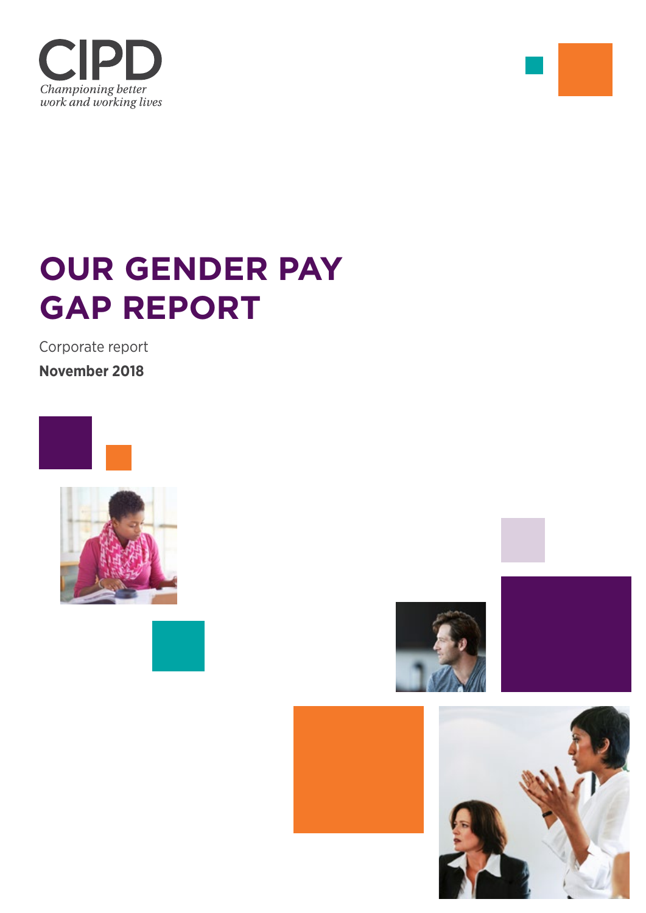



Corporate report

**November 2018**











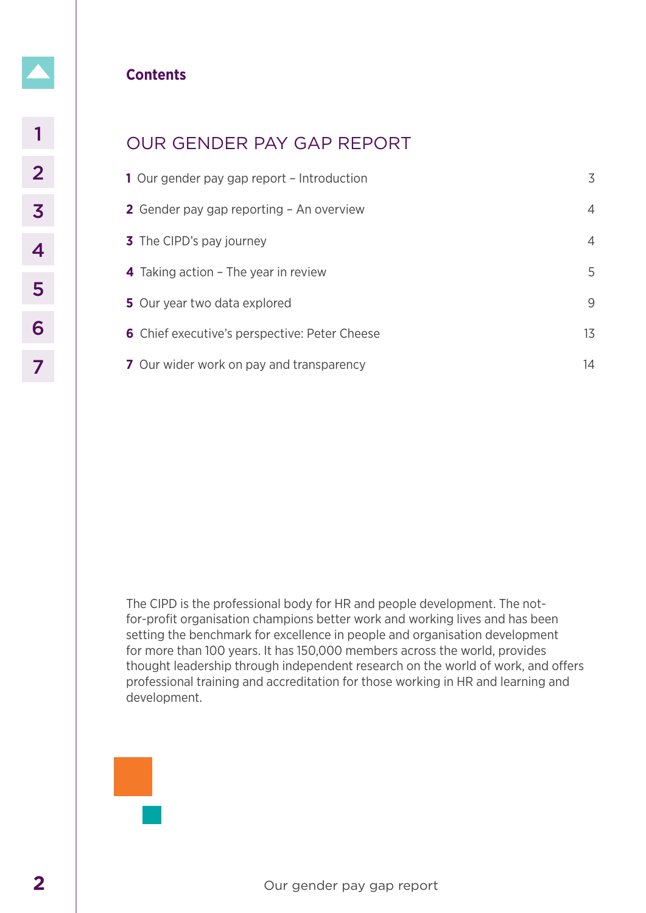# **Contents**

# OUR GENDER PAY GAP REPORT

| 1           | <b>OUR GENDER PAY GAP REPORT</b>                                                                                                                                                                                                                                                                                                                                                                                                                                                                               |  |  |  |
|-------------|----------------------------------------------------------------------------------------------------------------------------------------------------------------------------------------------------------------------------------------------------------------------------------------------------------------------------------------------------------------------------------------------------------------------------------------------------------------------------------------------------------------|--|--|--|
| $\mathbf 2$ | 3<br>1 Our gender pay gap report - Introduction                                                                                                                                                                                                                                                                                                                                                                                                                                                                |  |  |  |
| 3           | 2 Gender pay gap reporting - An overview<br>$\overline{4}$                                                                                                                                                                                                                                                                                                                                                                                                                                                     |  |  |  |
| 4           | 3 The CIPD's pay journey<br>$\overline{4}$                                                                                                                                                                                                                                                                                                                                                                                                                                                                     |  |  |  |
|             | 5<br>4 Taking action - The year in review                                                                                                                                                                                                                                                                                                                                                                                                                                                                      |  |  |  |
| 5           | 9<br>5 Our year two data explored                                                                                                                                                                                                                                                                                                                                                                                                                                                                              |  |  |  |
| 6           | 13<br>6 Chief executive's perspective: Peter Cheese                                                                                                                                                                                                                                                                                                                                                                                                                                                            |  |  |  |
| 7           | 14<br>7 Our wider work on pay and transparency                                                                                                                                                                                                                                                                                                                                                                                                                                                                 |  |  |  |
|             | The CIPD is the professional body for HR and people development. The not-<br>for-profit organisation champions better work and working lives and has been<br>setting the benchmark for excellence in people and organisation development<br>for more than 100 years. It has 150,000 members across the world, provides<br>thought leadership through independent research on the world of work, and offers<br>professional training and accreditation for those working in HR and learning and<br>development. |  |  |  |
|             | Our gender pay gap report                                                                                                                                                                                                                                                                                                                                                                                                                                                                                      |  |  |  |

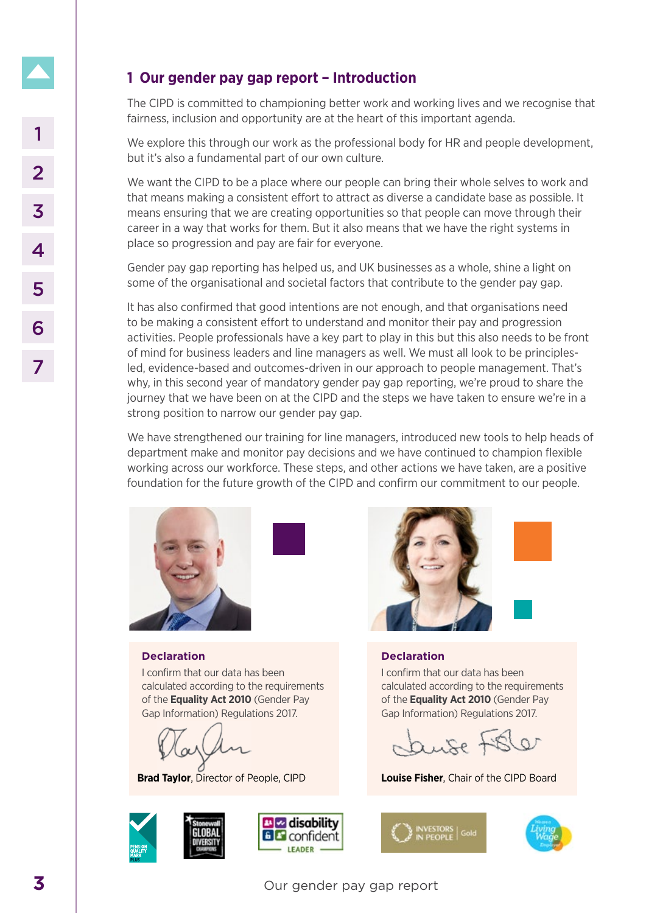# **1 Our gender pay gap report – Introduction**

The CIPD is committed to championing better work and working lives and we recognise that fairness, inclusion and opportunity are at the heart of this important agenda.

We explore this through our work as the professional body for HR and people development, but it's also a fundamental part of our own culture.

We want the CIPD to be a place where our people can bring their whole selves to work and that means making a consistent effort to attract as diverse a candidate base as possible. It means ensuring that we are creating opportunities so that people can move through their career in a way that works for them. But it also means that we have the right systems in place so progression and pay are fair for everyone.

Gender pay gap reporting has helped us, and UK businesses as a whole, shine a light on some of the organisational and societal factors that contribute to the gender pay gap.

It has also confirmed that good intentions are not enough, and that organisations need to be making a consistent effort to understand and monitor their pay and progression activities. People professionals have a key part to play in this but this also needs to be front of mind for business leaders and line managers as well. We must all look to be principlesled, evidence-based and outcomes-driven in our approach to people management. That's why, in this second year of mandatory gender pay gap reporting, we're proud to share the journey that we have been on at the CIPD and the steps we have taken to ensure we're in a strong position to narrow our gender pay gap. IVe explore this through our work as the professional body for but it's also a fundamental part of our cown culture.<br>
We want the CPD to be a place where our people can bring that means making a consistent effort to attan

We have strengthened our training for line managers, introduced new tools to help heads of department make and monitor pay decisions and we have continued to champion flexible working across our workforce. These steps, and other actions we have taken, are a positive foundation for the future growth of the CIPD and confirm our commitment to our people.



**Declaration**

I confirm that our data has been calculated according to the requirements of the **Equality Act 2010** (Gender Pay Gap Information) Regulations 2017.

**Brad Taylor**, Director of People, CIPD







## **Declaration**

I confirm that our data has been calculated according to the requirements of the **Equality Act 2010** (Gender Pay Gap Information) Regulations 2017.

 $Q$ 

**Louise Fisher**, Chair of the CIPD Board



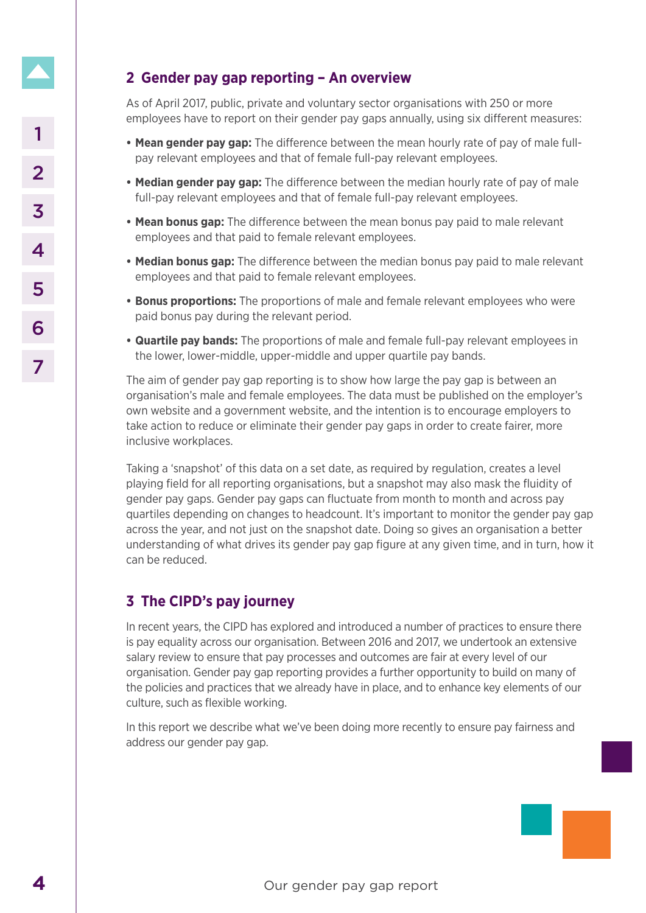# **2 Gender pay gap reporting – An overview**

As of April 2017, public, private and voluntary sector organisations with 250 or more employees have to report on their gender pay gaps annually, using six different measures:

- **• Mean gender pay gap:** The difference between the mean hourly rate of pay of male fullpay relevant employees and that of female full-pay relevant employees.
- **• Median gender pay gap:** The difference between the median hourly rate of pay of male full-pay relevant employees and that of female full-pay relevant employees.
- **• Mean bonus gap:** The difference between the mean bonus pay paid to male relevant employees and that paid to female relevant employees.
- **• Median bonus gap:** The difference between the median bonus pay paid to male relevant employees and that paid to female relevant employees.
- **• Bonus proportions:** The proportions of male and female relevant employees who were paid bonus pay during the relevant period.
- **• Quartile pay bands:** The proportions of male and female full-pay relevant employees in the lower, lower-middle, upper-middle and upper quartile pay bands.

The aim of gender pay gap reporting is to show how large the pay gap is between an organisation's male and female employees. The data must be published on the employer's own website and a government website, and the intention is to encourage employers to take action to reduce or eliminate their gender pay gaps in order to create fairer, more inclusive workplaces.

Taking a 'snapshot' of this data on a set date, as required by regulation, creates a level playing field for all reporting organisations, but a snapshot may also mask the fluidity of gender pay gaps. Gender pay gaps can fluctuate from month to month and across pay quartiles depending on changes to headcount. It's important to monitor the gender pay gap across the year, and not just on the snapshot date. Doing so gives an organisation a better understanding of what drives its gender pay gap figure at any given time, and in turn, how it can be reduced. **4 Examplementary pays:** The difference between the mean to pay relevant employees and that of female full-pay relevant employees and that of female full-pay relevant employees and that of female full-pay relevant employ

# **3 The CIPD's pay journey**

In recent years, the CIPD has explored and introduced a number of practices to ensure there is pay equality across our organisation. Between 2016 and 2017, we undertook an extensive salary review to ensure that pay processes and outcomes are fair at every level of our organisation. Gender pay gap reporting provides a further opportunity to build on many of the policies and practices that we already have in place, and to enhance key elements of our culture, such as flexible working.

In this report we describe what we've been doing more recently to ensure pay fairness and address our gender pay gap.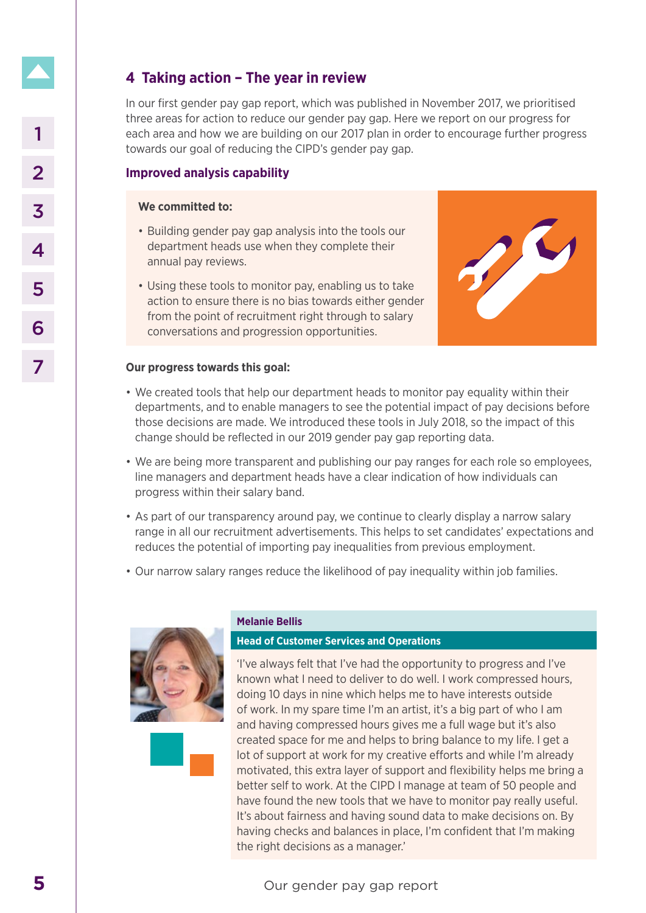# **4 Taking action – The year in review**

In our first gender pay gap report, which was published in November 2017, we prioritised three areas for action to reduce our gender pay gap. Here we report on our progress for each area and how we are building on our 2017 plan in order to encourage further progress towards our goal of reducing the CIPD's gender pay gap.

# **Improved analysis capability**

## **We committed to:**

- Building gender pay gap analysis into the tools our department heads use when they complete their annual pay reviews.
- Using these tools to monitor pay, enabling us to take action to ensure there is no bias towards either gender from the point of recruitment right through to salary conversations and progression opportunities.



## **Our progress towards this goal:**

- We created tools that help our department heads to monitor pay equality within their departments, and to enable managers to see the potential impact of pay decisions before those decisions are made. We introduced these tools in July 2018, so the impact of this change should be reflected in our 2019 gender pay gap reporting data.
- We are being more transparent and publishing our pay ranges for each role so employees, line managers and department heads have a clear indication of how individuals can progress within their salary band.
- As part of our transparency around pay, we continue to clearly display a narrow salary range in all our recruitment advertisements. This helps to set candidates' expectations and reduces the potential of importing pay inequalities from previous employment.
- Our narrow salary ranges reduce the likelihood of pay inequality within job families.





#### **Melanie Bellis**

# **Head of Customer Services and Operations**

'I've always felt that I've had the opportunity to progress and I've known what I need to deliver to do well. I work compressed hours, doing 10 days in nine which helps me to have interests outside of work. In my spare time I'm an artist, it's a big part of who I am and having compressed hours gives me a full wage but it's also created space for me and helps to bring balance to my life. I get a lot of support at work for my creative efforts and while I'm already motivated, this extra layer of support and flexibility helps me bring a better self to work. At the CIPD I manage at team of 50 people and have found the new tools that we have to monitor pay really useful. It's about fairness and having sound data to make decisions on. By having checks and balances in place, I'm confident that I'm making the right decisions as a manager.' 1<br>
each are and thow we are building on our 2017 plan in order towards our goal of reducing the CIPD's gender pay gap.<br> **1997**<br> **Example of any gap report of the control control control control control control control cont**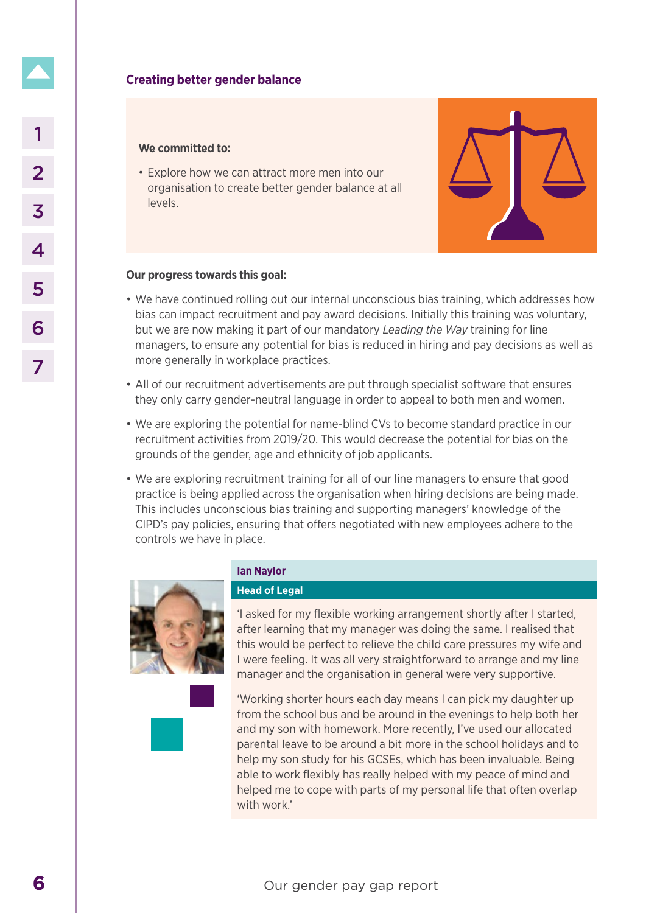#### **We committed to:**

• Explore how we can attract more men into our organisation to create better gender balance at all levels.



### **Our progress towards this goal:**

- We have continued rolling out our internal unconscious bias training, which addresses how bias can impact recruitment and pay award decisions. Initially this training was voluntary, but we are now making it part of our mandatory *Leading the Way* training for line managers, to ensure any potential for bias is reduced in hiring and pay decisions as well as more generally in workplace practices.
- All of our recruitment advertisements are put through specialist software that ensures they only carry gender-neutral language in order to appeal to both men and women.
- We are exploring the potential for name-blind CVs to become standard practice in our recruitment activities from 2019/20. This would decrease the potential for bias on the grounds of the gender, age and ethnicity of job applicants.
- We are exploring recruitment training for all of our line managers to ensure that good practice is being applied across the organisation when hiring decisions are being made. This includes unconscious bias training and supporting managers' knowledge of the CIPD's pay policies, ensuring that offers negotiated with new employees adhere to the controls we have in place.



#### **Ian Naylor**

### **Head of Legal**

'I asked for my flexible working arrangement shortly after I started, after learning that my manager was doing the same. I realised that this would be perfect to relieve the child care pressures my wife and I were feeling. It was all very straightforward to arrange and my line manager and the organisation in general were very supportive.

'Working shorter hours each day means I can pick my daughter up from the school bus and be around in the evenings to help both her and my son with homework. More recently, I've used our allocated parental leave to be around a bit more in the school holidays and to help my son study for his GCSEs, which has been invaluable. Being able to work flexibly has really helped with my peace of mind and helped me to cope with parts of my personal life that often overlap with work.' **Explore the set of the set of the set of the set of the set of the set of the set of the set of the set of the set of the set of the set of the set of the set of the set of the set of the set of the set of the set of the**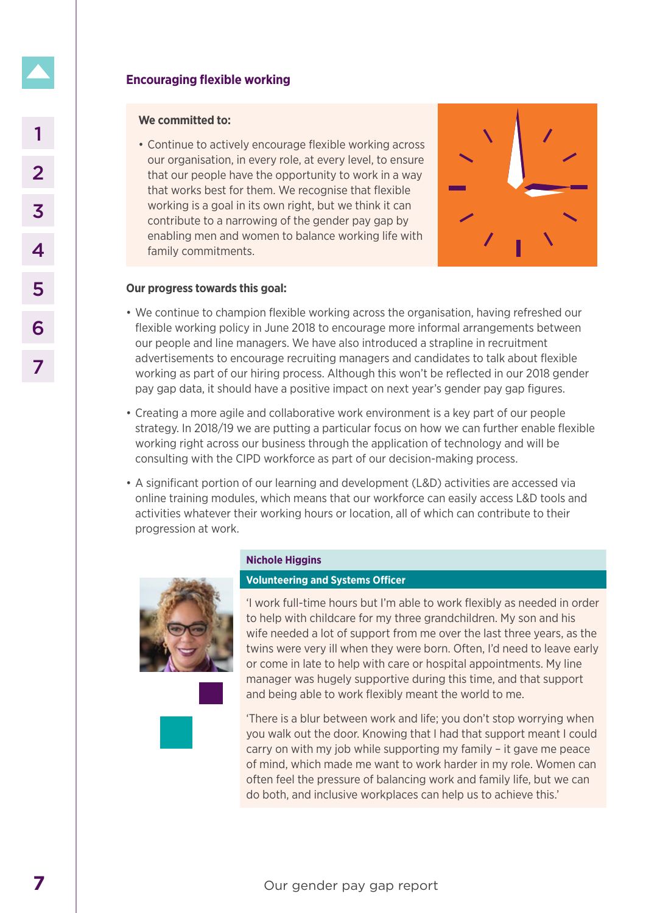# **Encouraging flexible working**

### **We committed to:**

• Continue to actively encourage flexible working across our organisation, in every role, at every level, to ensure that our people have the opportunity to work in a way that works best for them. We recognise that flexible working is a goal in its own right, but we think it can contribute to a narrowing of the gender pay gap by enabling men and women to balance working life with family commitments. **7** Continue to actively encourage flexible working across<br>
and room proports at the comportatively cells at the composite that whose best determ. We recognize that feating<br>
working is a goal in its when this turb we think



## **Our progress towards this goal:**

- We continue to champion flexible working across the organisation, having refreshed our flexible working policy in June 2018 to encourage more informal arrangements between our people and line managers. We have also introduced a strapline in recruitment advertisements to encourage recruiting managers and candidates to talk about flexible working as part of our hiring process. Although this won't be reflected in our 2018 gender pay gap data, it should have a positive impact on next year's gender pay gap figures.
- Creating a more agile and collaborative work environment is a key part of our people strategy. In 2018/19 we are putting a particular focus on how we can further enable flexible working right across our business through the application of technology and will be consulting with the CIPD workforce as part of our decision-making process.
- A significant portion of our learning and development (L&D) activities are accessed via online training modules, which means that our workforce can easily access L&D tools and activities whatever their working hours or location, all of which can contribute to their progression at work.



#### **Nichole Higgins**

### **Volunteering and Systems Officer**

'I work full-time hours but I'm able to work flexibly as needed in order to help with childcare for my three grandchildren. My son and his wife needed a lot of support from me over the last three years, as the twins were very ill when they were born. Often, I'd need to leave early or come in late to help with care or hospital appointments. My line manager was hugely supportive during this time, and that support and being able to work flexibly meant the world to me.

'There is a blur between work and life; you don't stop worrying when you walk out the door. Knowing that I had that support meant I could carry on with my job while supporting my family – it gave me peace of mind, which made me want to work harder in my role. Women can often feel the pressure of balancing work and family life, but we can do both, and inclusive workplaces can help us to achieve this.'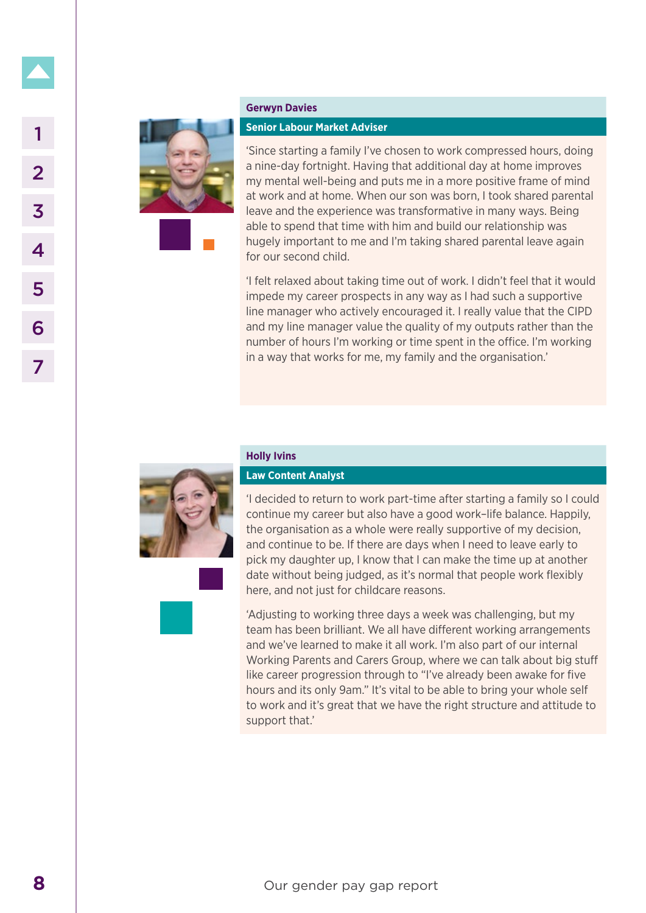

#### **Gerwyn Davies**

#### **Senior Labour Market Adviser**

'Since starting a family I've chosen to work compressed hours, doing a nine-day fortnight. Having that additional day at home improves my mental well-being and puts me in a more positive frame of mind at work and at home. When our son was born, I took shared parental leave and the experience was transformative in many ways. Being able to spend that time with him and build our relationship was hugely important to me and I'm taking shared parental leave again for our second child. **8** Since starting a family live chosen to my consider a principal and technical burst and the propertience was transfer and the work and at home. Who are some that in the starting the pay support that in the temperature o

'I felt relaxed about taking time out of work. I didn't feel that it would impede my career prospects in any way as I had such a supportive line manager who actively encouraged it. I really value that the CIPD and my line manager value the quality of my outputs rather than the number of hours I'm working or time spent in the office. I'm working in a way that works for me, my family and the organisation.'



**Holly Ivins**

#### **Law Content Analyst**

'I decided to return to work part-time after starting a family so I could continue my career but also have a good work–life balance. Happily, the organisation as a whole were really supportive of my decision, and continue to be. If there are days when I need to leave early to pick my daughter up, I know that I can make the time up at another date without being judged, as it's normal that people work flexibly here, and not just for childcare reasons.

'Adjusting to working three days a week was challenging, but my team has been brilliant. We all have different working arrangements and we've learned to make it all work. I'm also part of our internal Working Parents and Carers Group, where we can talk about big stuff like career progression through to "I've already been awake for five hours and its only 9am." It's vital to be able to bring your whole self to work and it's great that we have the right structure and attitude to support that.'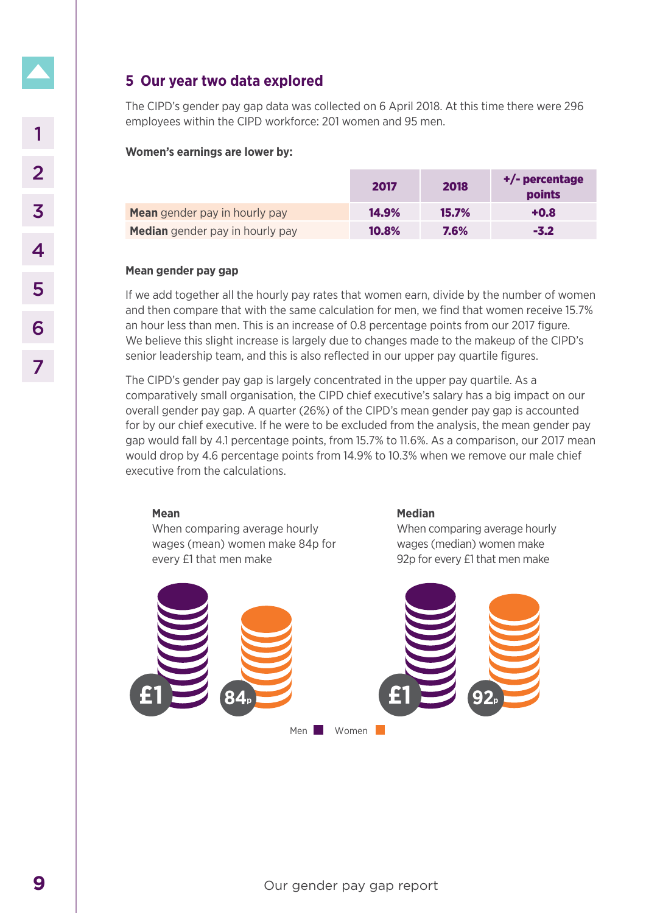# **5 Our year two data explored**

The CIPD's gender pay gap data was collected on 6 April 2018. At this time there were 296 employees within the CIPD workforce: 201 women and 95 men.

## **Women's earnings are lower by:**

|                                      | 2017  | 2018         | +/- percentage<br>points |
|--------------------------------------|-------|--------------|--------------------------|
| <b>Mean</b> gender pay in hourly pay | 14.9% | <b>15.7%</b> | $+0.8$                   |
| Median gender pay in hourly pay      | 10.8% | 7.6%         | $-3.2$                   |

## **Mean gender pay gap**

If we add together all the hourly pay rates that women earn, divide by the number of women and then compare that with the same calculation for men, we find that women receive 15.7% an hour less than men. This is an increase of 0.8 percentage points from our 2017 figure. We believe this slight increase is largely due to changes made to the makeup of the CIPD's senior leadership team, and this is also reflected in our upper pay quartile figures.

The CIPD's gender pay gap is largely concentrated in the upper pay quartile. As a comparatively small organisation, the CIPD chief executive's salary has a big impact on our overall gender pay gap. A quarter (26%) of the CIPD's mean gender pay gap is accounted for by our chief executive. If he were to be excluded from the analysis, the mean gender pay gap would fall by 4.1 percentage points, from 15.7% to 11.6%. As a comparison, our 2017 mean would drop by 4.6 percentage points from 14.9% to 10.3% when we remove our male chief executive from the calculations.

### **Mean**

When comparing average hourly wages (mean) women make 84p for every £1 that men make

### **Median**

When comparing average hourly wages (median) women make 92p for every £1 that men make

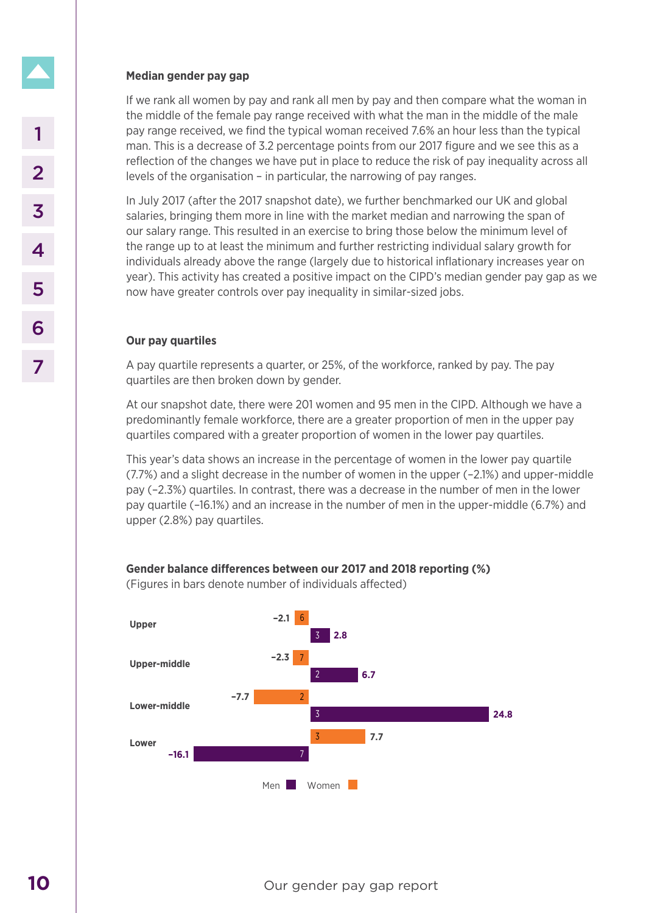# **Median gender pay gap**

If we rank all women by pay and rank all men by pay and then compare what the woman in the middle of the female pay range received with what the man in the middle of the male pay range received, we find the typical woman received 7.6% an hour less than the typical man. This is a decrease of 3.2 percentage points from our 2017 figure and we see this as a reflection of the changes we have put in place to reduce the risk of pay inequality across all levels of the organisation – in particular, the narrowing of pay ranges.

In July 2017 (after the 2017 snapshot date), we further benchmarked our UK and global salaries, bringing them more in line with the market median and narrowing the span of our salary range. This resulted in an exercise to bring those below the minimum level of the range up to at least the minimum and further restricting individual salary growth for individuals already above the range (largely due to historical inflationary increases year on year). This activity has created a positive impact on the CIPD's median gender pay gap as we now have greater controls over pay inequality in similar-sized jobs.

# **Our pay quartiles**

A pay quartile represents a quarter, or 25%, of the workforce, ranked by pay. The pay quartiles are then broken down by gender.

At our snapshot date, there were 201 women and 95 men in the CIPD. Although we have a predominantly female workforce, there are a greater proportion of men in the upper pay quartiles compared with a greater proportion of women in the lower pay quartiles.

This year's data shows an increase in the percentage of women in the lower pay quartile (7.7%) and a slight decrease in the number of women in the upper (–2.1%) and upper-middle pay (–2.3%) quartiles. In contrast, there was a decrease in the number of men in the lower pay quartile (–16.1%) and an increase in the number of men in the upper-middle (6.7%) and upper (2.8%) pay quartiles.



**Gender balance differences between our 2017 and 2018 reporting (%)**

(Figures in bars denote number of individuals affected)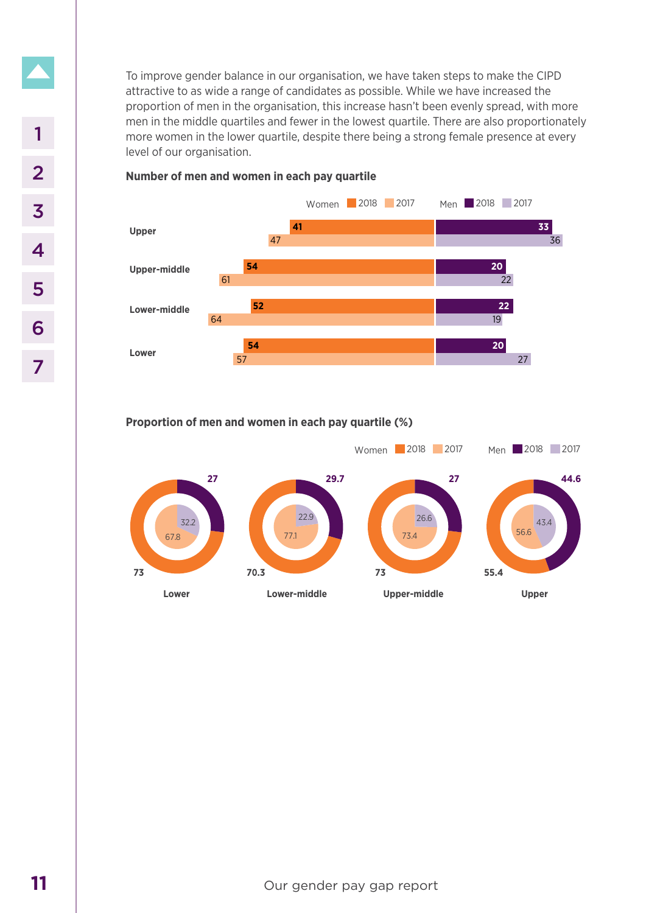To improve gender balance in our organisation, we have taken steps to make the CIPD attractive to as wide a range of candidates as possible. While we have increased the proportion of men in the organisation, this increase hasn't been evenly spread, with more men in the middle quartiles and fewer in the lowest quartile. There are also proportionately more women in the lower quartile, despite there being a strong female presence at every level of our organisation.



# **Number of men and women in each pay quartile**

**Proportion of men and women in each pay quartile (%)**

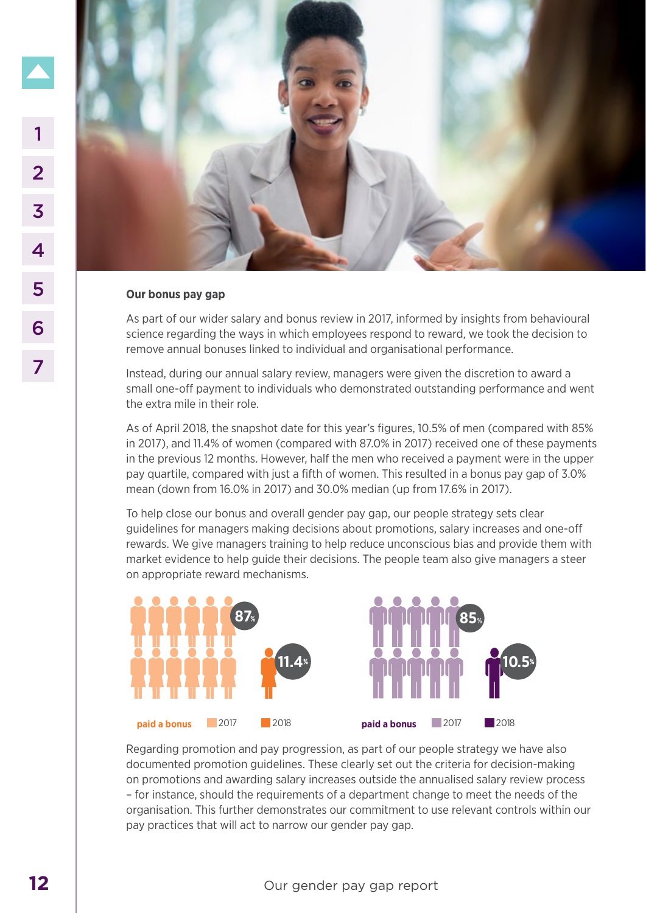

#### **Our bonus pay gap**

As part of our wider salary and bonus review in 2017, informed by insights from behavioural science regarding the ways in which employees respond to reward, we took the decision to remove annual bonuses linked to individual and organisational performance.

Instead, during our annual salary review, managers were given the discretion to award a small one-off payment to individuals who demonstrated outstanding performance and went the extra mile in their role.

As of April 2018, the snapshot date for this year's figures, 10.5% of men (compared with 85% in 2017), and 11.4% of women (compared with 87.0% in 2017) received one of these payments in the previous 12 months. However, half the men who received a payment were in the upper pay quartile, compared with just a fifth of women. This resulted in a bonus pay gap of 3.0% mean (down from 16.0% in 2017) and 30.0% median (up from 17.6% in 2017).

To help close our bonus and overall gender pay gap, our people strategy sets clear guidelines for managers making decisions about promotions, salary increases and one-off rewards. We give managers training to help reduce unconscious bias and provide them with market evidence to help guide their decisions. The people team also give managers a steer on appropriate reward mechanisms.



Regarding promotion and pay progression, as part of our people strategy we have also documented promotion guidelines. These clearly set out the criteria for decision-making on promotions and awarding salary increases outside the annualised salary review process – for instance, should the requirements of a department change to meet the needs of the organisation. This further demonstrates our commitment to use relevant controls within our pay practices that will act to narrow our gender pay gap.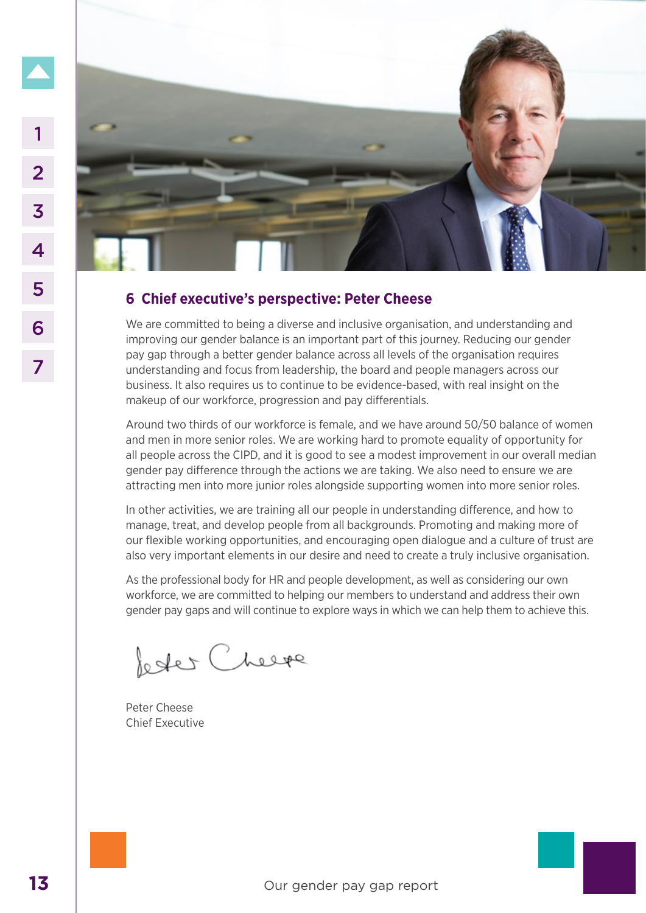

# **6 Chief executive's perspective: Peter Cheese**

We are committed to being a diverse and inclusive organisation, and understanding and improving our gender balance is an important part of this journey. Reducing our gender pay gap through a better gender balance across all levels of the organisation requires understanding and focus from leadership, the board and people managers across our business. It also requires us to continue to be evidence-based, with real insight on the makeup of our workforce, progression and pay differentials.

Around two thirds of our workforce is female, and we have around 50/50 balance of women and men in more senior roles. We are working hard to promote equality of opportunity for all people across the CIPD, and it is good to see a modest improvement in our overall median gender pay difference through the actions we are taking. We also need to ensure we are attracting men into more junior roles alongside supporting women into more senior roles.

In other activities, we are training all our people in understanding difference, and how to manage, treat, and develop people from all backgrounds. Promoting and making more of our flexible working opportunities, and encouraging open dialogue and a culture of trust are also very important elements in our desire and need to create a truly inclusive organisation.

As the professional body for HR and people development, as well as considering our own workforce, we are committed to helping our members to understand and address their own gender pay gaps and will continue to explore ways in which we can help them to achieve this.

Peter Cheese Chief Executive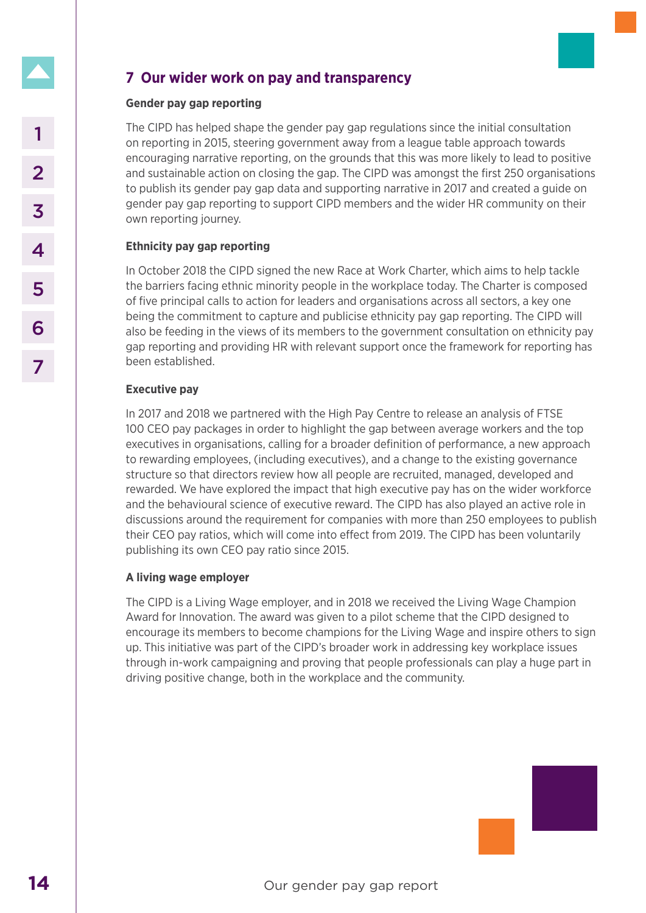# **7 Our wider work on pay and transparency**

## **Gender pay gap reporting**

The CIPD has helped shape the gender pay gap regulations since the initial consultation on reporting in 2015, steering government away from a league table approach towards encouraging narrative reporting, on the grounds that this was more likely to lead to positive and sustainable action on closing the gap. The CIPD was amongst the first 250 organisations to publish its gender pay gap data and supporting narrative in 2017 and created a guide on gender pay gap reporting to support CIPD members and the wider HR community on their own reporting journey.

## **Ethnicity pay gap reporting**

In October 2018 the CIPD signed the new Race at Work Charter, which aims to help tackle the barriers facing ethnic minority people in the workplace today. The Charter is composed of five principal calls to action for leaders and organisations across all sectors, a key one being the commitment to capture and publicise ethnicity pay gap reporting. The CIPD will also be feeding in the views of its members to the government consultation on ethnicity pay gap reporting and providing HR with relevant support once the framework for reporting has been established.

## **Executive pay**

In 2017 and 2018 we partnered with the High Pay Centre to release an analysis of FTSE 100 CEO pay packages in order to highlight the gap between average workers and the top executives in organisations, calling for a broader definition of performance, a new approach to rewarding employees, (including executives), and a change to the existing governance structure so that directors review how all people are recruited, managed, developed and rewarded. We have explored the impact that high executive pay has on the wider workforce and the behavioural science of executive reward. The CIPD has also played an active role in discussions around the requirement for companies with more than 250 employees to publish their CEO pay ratios, which will come into effect from 2019. The CIPD has been voluntarily publishing its own CEO pay ratio since 2015. 1<br>
In car car of general standard scheme general way from a league on reporting in 2015, steering government away from a league encouraging narrative in equalistical standard and subsering the grap report of the product St

## **A living wage employer**

The CIPD is a Living Wage employer, and in 2018 we received the Living Wage Champion Award for Innovation. The award was given to a pilot scheme that the CIPD designed to encourage its members to become champions for the Living Wage and inspire others to sign up. This initiative was part of the CIPD's broader work in addressing key workplace issues through in-work campaigning and proving that people professionals can play a huge part in driving positive change, both in the workplace and the community.